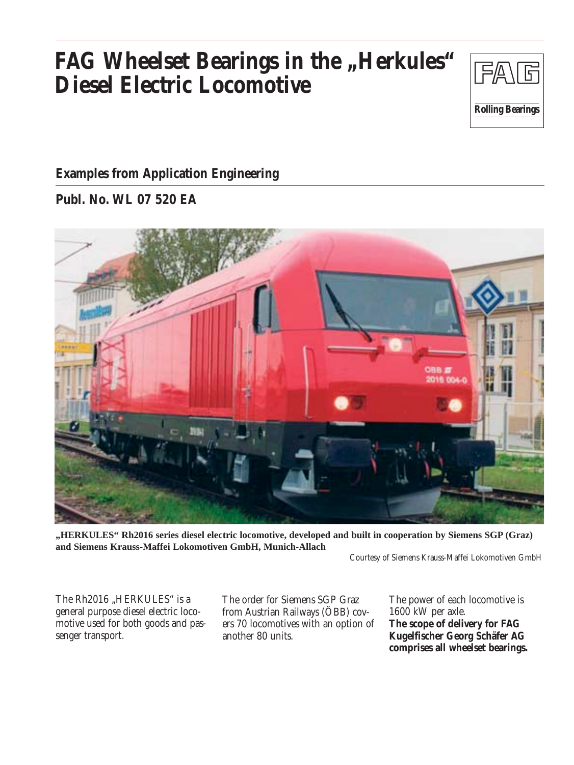# **FAG Wheelset Bearings in the "Herkules" Diesel Electric Locomotive**



#### **Examples from Application Engineering**

#### **Publ. No. WL 07 520 EA**



**"HERKULES" Rh2016 series diesel electric locomotive, developed and built in cooperation by Siemens SGP (Graz) and Siemens Krauss-Maffei Lokomotiven GmbH, Munich-Allach**

Courtesy of Siemens Krauss-Maffei Lokomotiven GmbH

The Rh2016 "HERKULES" is a general purpose diesel electric locomotive used for both goods and passenger transport.

The order for Siemens SGP Graz from Austrian Railways (ÖBB) covers 70 locomotives with an option of another 80 units.

The power of each locomotive is 1600 kW per axle. **The scope of delivery for FAG Kugelfischer Georg Schäfer AG comprises all wheelset bearings.**